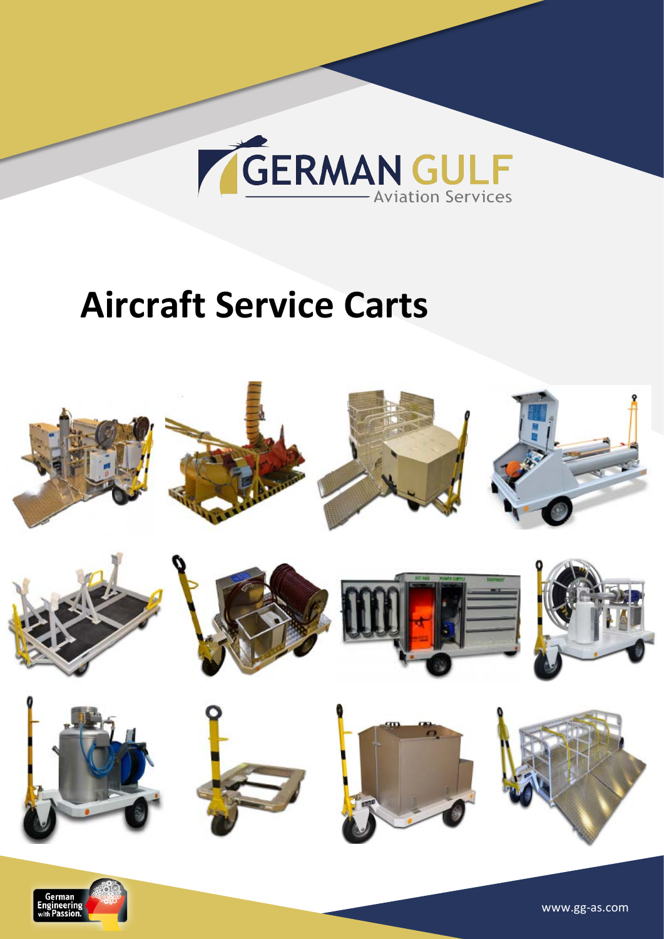

## **Aircraft Service Carts**



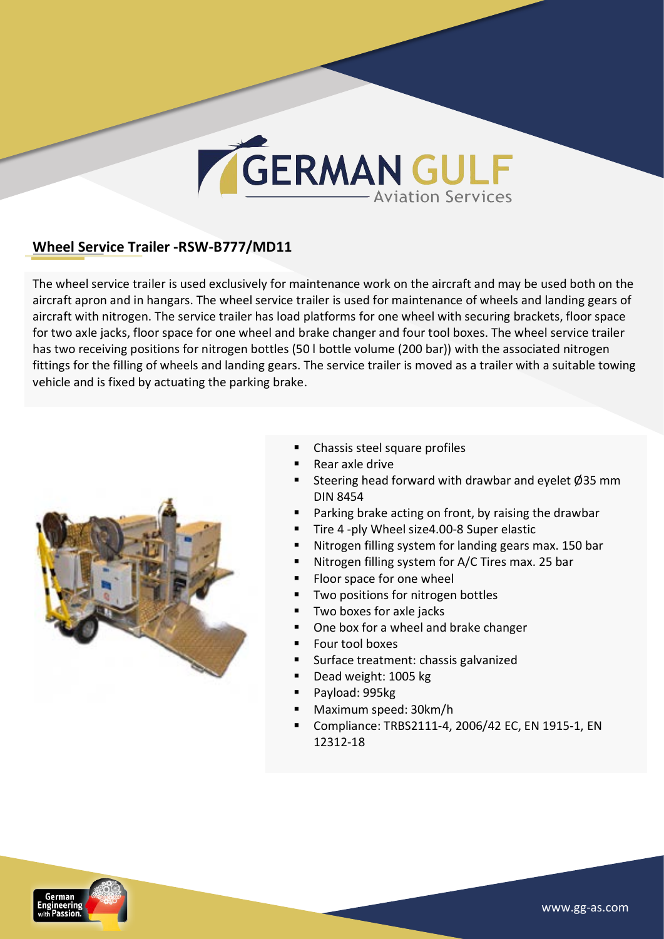#### **Wheel Service Trailer -RSW-B777/MD11**

The wheel service trailer is used exclusively for maintenance work on the aircraft and may be used both on the aircraft apron and in hangars. The wheel service trailer is used for maintenance of wheels and landing gears of aircraft with nitrogen. The service trailer has load platforms for one wheel with securing brackets, floor space for two axle jacks, floor space for one wheel and brake changer and four tool boxes. The wheel service trailer has two receiving positions for nitrogen bottles (50 l bottle volume (200 bar)) with the associated nitrogen fittings for the filling of wheels and landing gears. The service trailer is moved as a trailer with a suitable towing vehicle and is fixed by actuating the parking brake.



- Chassis steel square profiles
- Rear axle drive
- Steering head forward with drawbar and eyelet  $\varnothing$ 35 mm DIN 8454
- Parking brake acting on front, by raising the drawbar
- Tire 4 -ply Wheel size4.00-8 Super elastic
- Nitrogen filling system for landing gears max. 150 bar
- Nitrogen filling system for A/C Tires max. 25 bar
- Floor space for one wheel
- Two positions for nitrogen bottles
- Two boxes for axle jacks
- One box for a wheel and brake changer
- Four tool boxes
- <sup>■</sup> Surface treatment: chassis galvanized
- Dead weight: 1005 kg
- Payload: 995kg
- § Maximum speed: 30km/h
- Compliance: TRBS2111-4, 2006/42 EC, EN 1915-1, EN 12312-18

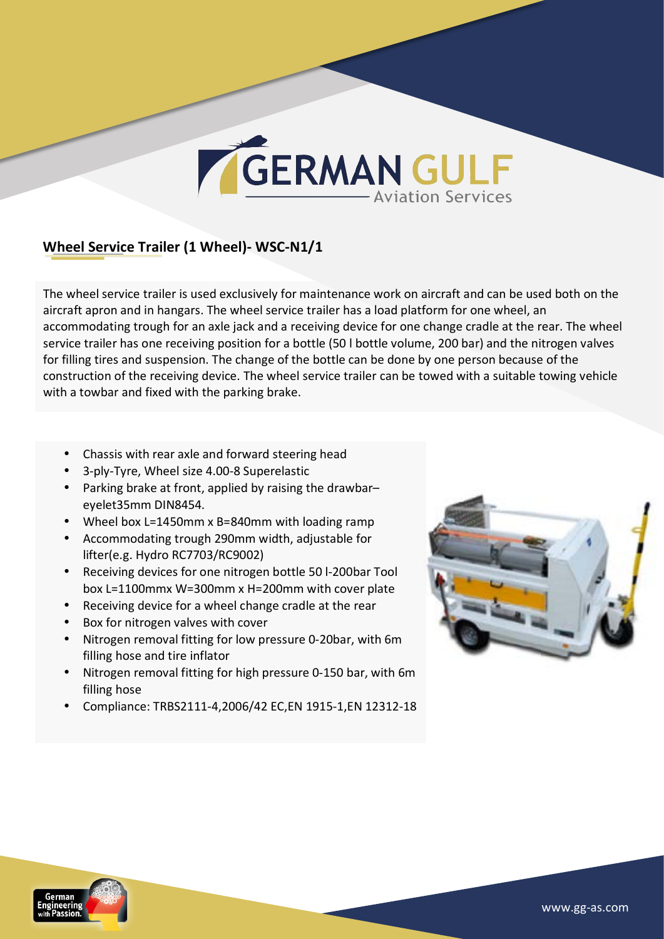#### **Wheel Service Trailer (1 Wheel)- WSC-N1/1**

The wheel service trailer is used exclusively for maintenance work on aircraft and can be used both on the aircraft apron and in hangars. The wheel service trailer has a load platform for one wheel, an accommodating trough for an axle jack and a receiving device for one change cradle at the rear. The wheel service trailer has one receiving position for a bottle (50 l bottle volume, 200 bar) and the nitrogen valves for filling tires and suspension. The change of the bottle can be done by one person because of the construction of the receiving device. The wheel service trailer can be towed with a suitable towing vehicle with a towbar and fixed with the parking brake.

- Chassis with rear axle and forward steering head
- 3-ply-Tyre, Wheel size 4.00-8 Superelastic
- Parking brake at front, applied by raising the drawbar– eyelet35mm DIN8454.
- Wheel box L=1450mm x B=840mm with loading ramp
- Accommodating trough 290mm width, adjustable for lifter(e.g. Hydro RC7703/RC9002)
- Receiving devices for one nitrogen bottle 50 l-200bar Tool box L=1100mmx W=300mm x H=200mm with cover plate
- Receiving device for a wheel change cradle at the rear
- Box for nitrogen valves with cover
- Nitrogen removal fitting for low pressure 0-20bar, with 6m filling hose and tire inflator
- Nitrogen removal fitting for high pressure 0-150 bar, with 6m filling hose
- Compliance: TRBS2111-4,2006/42 EC,EN 1915-1,EN 12312-18



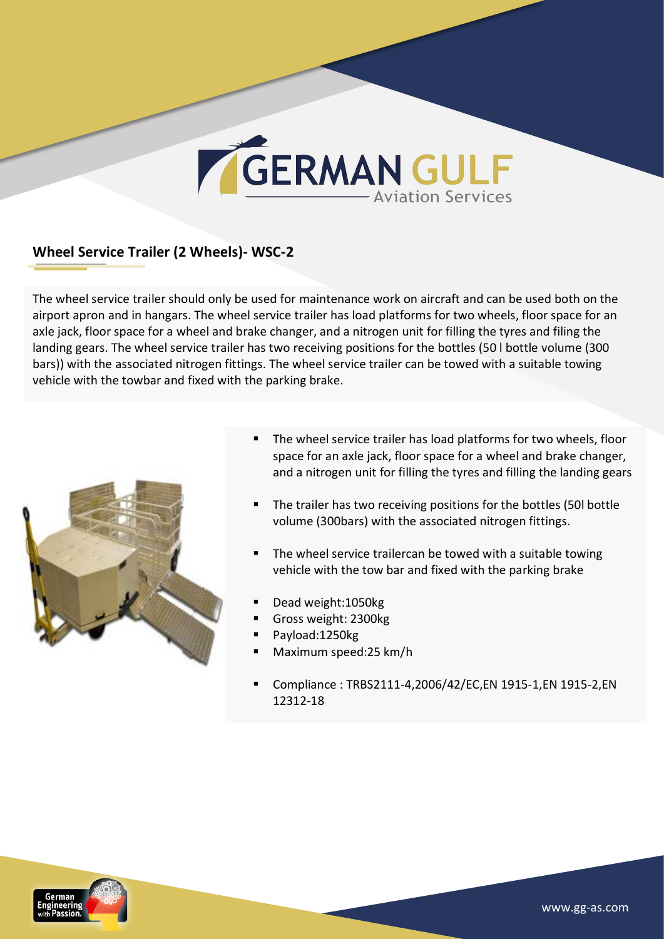#### **Wheel Service Trailer (2 Wheels)- WSC-2**

The wheel service trailer should only be used for maintenance work on aircraft and can be used both on the airport apron and in hangars. The wheel service trailer has load platforms for two wheels, floor space for an axle jack, floor space for a wheel and brake changer, and a nitrogen unit for filling the tyres and filing the landing gears. The wheel service trailer has two receiving positions for the bottles (50 I bottle volume (300 bars)) with the associated nitrogen fittings. The wheel service trailer can be towed with a suitable towing vehicle with the towbar and fixed with the parking brake.



- The wheel service trailer has load platforms for two wheels, floor space for an axle jack, floor space for a wheel and brake changer, and a nitrogen unit for filling the tyres and filling the landing gears
- The trailer has two receiving positions for the bottles (50l bottle volume (300bars) with the associated nitrogen fittings.
- The wheel service trailercan be towed with a suitable towing vehicle with the tow bar and fixed with the parking brake
- § Dead weight:1050kg
- § Gross weight: 2300kg
- § Payload:1250kg
- § Maximum speed:25 km/h
- § Compliance : TRBS2111-4,2006/42/EC,EN 1915-1,EN 1915-2,EN 12312-18

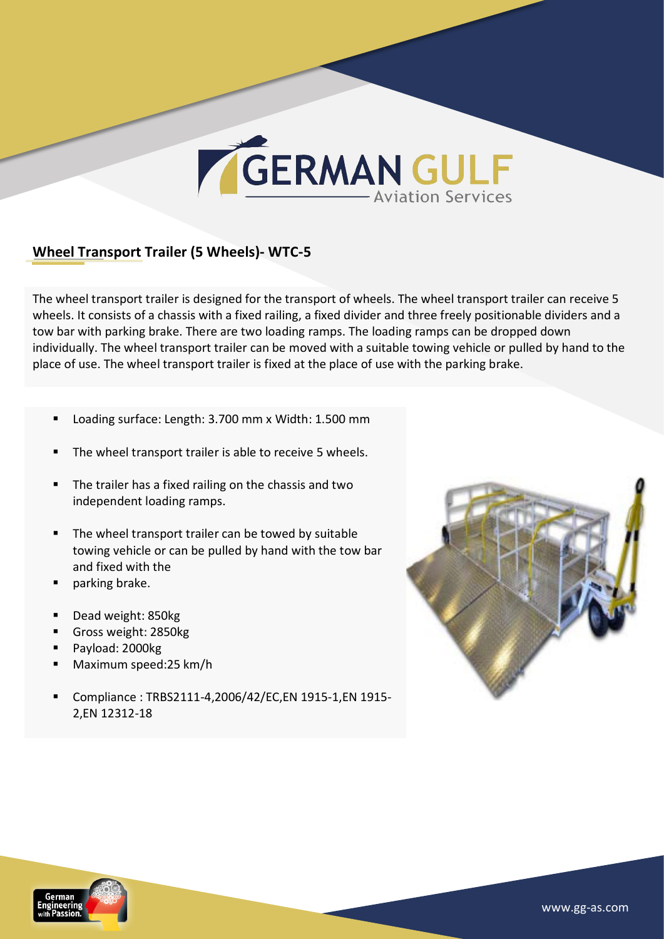

#### **Wheel Transport Trailer (5 Wheels)- WTC-5**

The wheel transport trailer is designed for the transport of wheels. The wheel transport trailer can receive 5 wheels. It consists of a chassis with a fixed railing, a fixed divider and three freely positionable dividers and a tow bar with parking brake. There are two loading ramps. The loading ramps can be dropped down individually. The wheel transport trailer can be moved with a suitable towing vehicle or pulled by hand to the place of use. The wheel transport trailer is fixed at the place of use with the parking brake.

- Loading surface: Length: 3.700 mm x Width: 1.500 mm
- The wheel transport trailer is able to receive 5 wheels.
- The trailer has a fixed railing on the chassis and two independent loading ramps.
- The wheel transport trailer can be towed by suitable towing vehicle or can be pulled by hand with the tow bar and fixed with the
- parking brake.
- Dead weight: 850kg
- § Gross weight: 2850kg
- § Payload: 2000kg
- § Maximum speed:25 km/h
- § Compliance : TRBS2111-4,2006/42/EC,EN 1915-1,EN 1915- 2,EN 12312-18



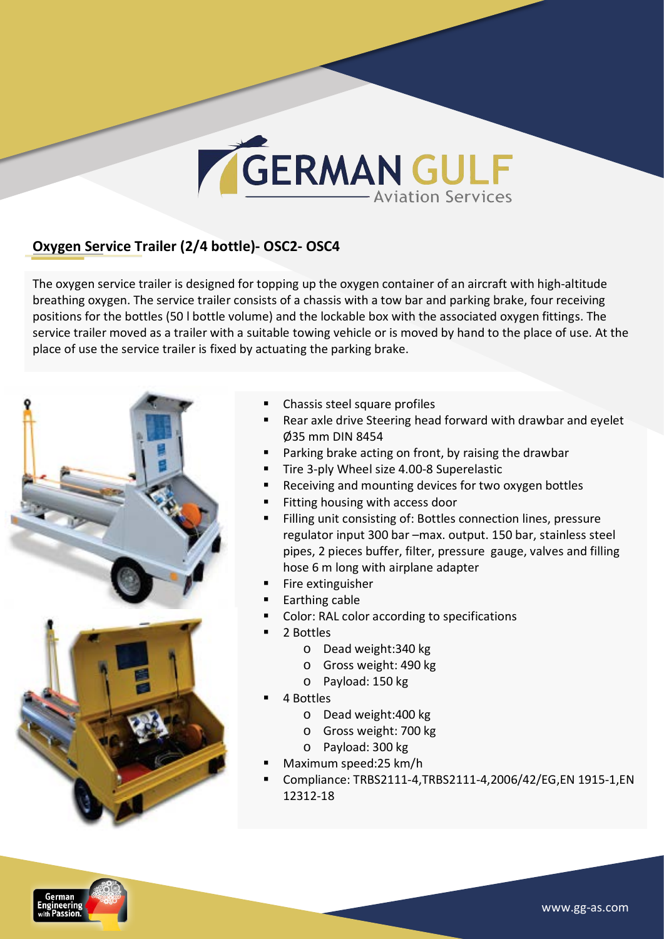#### **Oxygen Service Trailer (2/4 bottle)- OSC2- OSC4**

The oxygen service trailer is designed for topping up the oxygen container of an aircraft with high-altitude breathing oxygen. The service trailer consists of a chassis with a tow bar and parking brake, four receiving positions for the bottles (50 I bottle volume) and the lockable box with the associated oxygen fittings. The service trailer moved as a trailer with a suitable towing vehicle or is moved by hand to the place of use. At the place of use the service trailer is fixed by actuating the parking brake.



- Chassis steel square profiles
- Rear axle drive Steering head forward with drawbar and eyelet Ø35 mm DIN 8454
- Parking brake acting on front, by raising the drawbar
- Tire 3-ply Wheel size 4.00-8 Superelastic
- Receiving and mounting devices for two oxygen bottles
- Fitting housing with access door
- Filling unit consisting of: Bottles connection lines, pressure regulator input 300 bar –max. output. 150 bar, stainless steel pipes, 2 pieces buffer, filter, pressure gauge, valves and filling hose 6 m long with airplane adapter
- Fire extinguisher
- Earthing cable
- Color: RAL color according to specifications
- § 2 Bottles
	- o Dead weight:340 kg
	- o Gross weight: 490 kg
	- o Payload: 150 kg
- § 4 Bottles
	- o Dead weight:400 kg
	- o Gross weight: 700 kg
	- o Payload: 300 kg
- § Maximum speed:25 km/h
- § Compliance: TRBS2111-4,TRBS2111-4,2006/42/EG,EN 1915-1,EN 12312-18

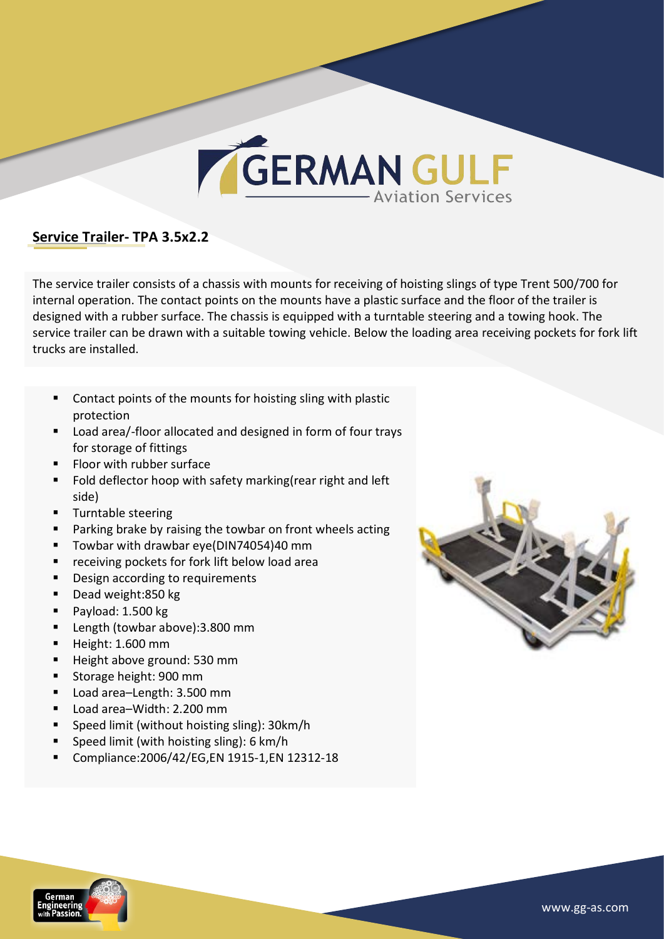

#### **Service Trailer- TPA 3.5x2.2**

The service trailer consists of a chassis with mounts for receiving of hoisting slings of type Trent 500/700 for internal operation. The contact points on the mounts have a plastic surface and the floor of the trailer is designed with a rubber surface. The chassis is equipped with a turntable steering and a towing hook. The service trailer can be drawn with a suitable towing vehicle. Below the loading area receiving pockets for fork lift trucks are installed.

- Contact points of the mounts for hoisting sling with plastic protection
- Load area/-floor allocated and designed in form of four trays for storage of fittings
- Floor with rubber surface
- Fold deflector hoop with safety marking(rear right and left side)
- **•** Turntable steering
- Parking brake by raising the towbar on front wheels acting
- Towbar with drawbar eye(DIN74054)40 mm
- receiving pockets for fork lift below load area
- Design according to requirements
- Dead weight:850 kg
- Payload: 1.500 kg
- Length (towbar above):3.800 mm
- § Height: 1.600 mm
- Height above ground: 530 mm
- Storage height: 900 mm
- Load area-Length: 3.500 mm
- Load area-Width: 2.200 mm
- Speed limit (without hoisting sling): 30km/h
- Speed limit (with hoisting sling): 6 km/h
- § Compliance:2006/42/EG,EN 1915-1,EN 12312-18



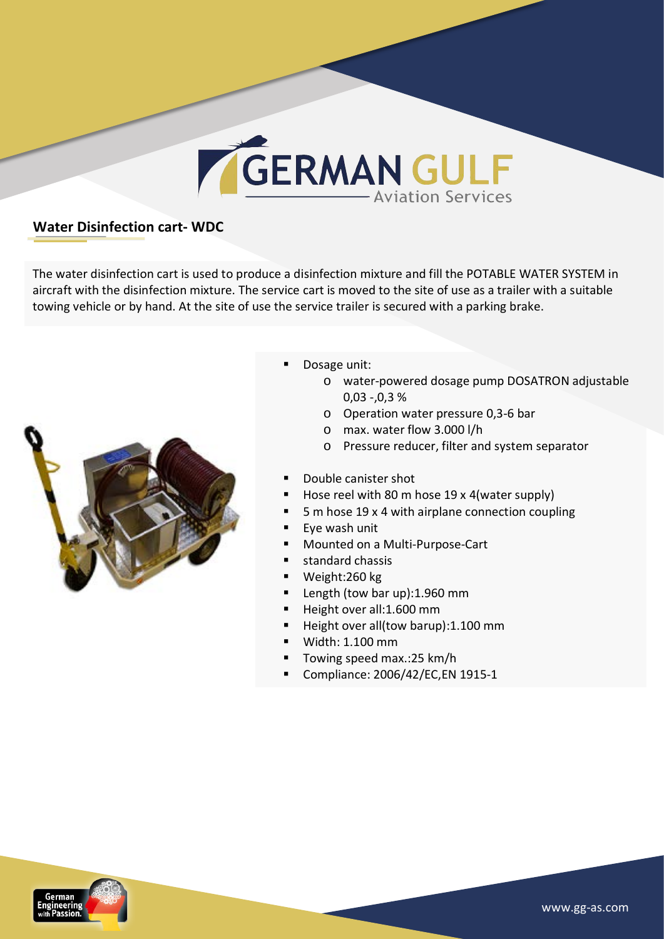

#### **Water Disinfection cart- WDC**

The water disinfection cart is used to produce a disinfection mixture and fill the POTABLE WATER SYSTEM in aircraft with the disinfection mixture. The service cart is moved to the site of use as a trailer with a suitable towing vehicle or by hand. At the site of use the service trailer is secured with a parking brake.



- Dosage unit:
	- o water-powered dosage pump DOSATRON adjustable  $0,03 - 0,3 %$
	- o Operation water pressure 0,3-6 bar
	- o max. water flow 3.000 l/h
	- o Pressure reducer, filter and system separator
- Double canister shot
- Hose reel with 80 m hose 19 x 4(water supply)
- 5 m hose 19 x 4 with airplane connection coupling
- Eye wash unit
- § Mounted on a Multi-Purpose-Cart
- standard chassis
- § Weight:260 kg
- Length (tow bar up): 1.960 mm
- Height over all:1.600 mm
- Height over all(tow barup):1.100 mm
- § Width: 1.100 mm
- Towing speed max.:25 km/h
- § Compliance: 2006/42/EC,EN 1915-1

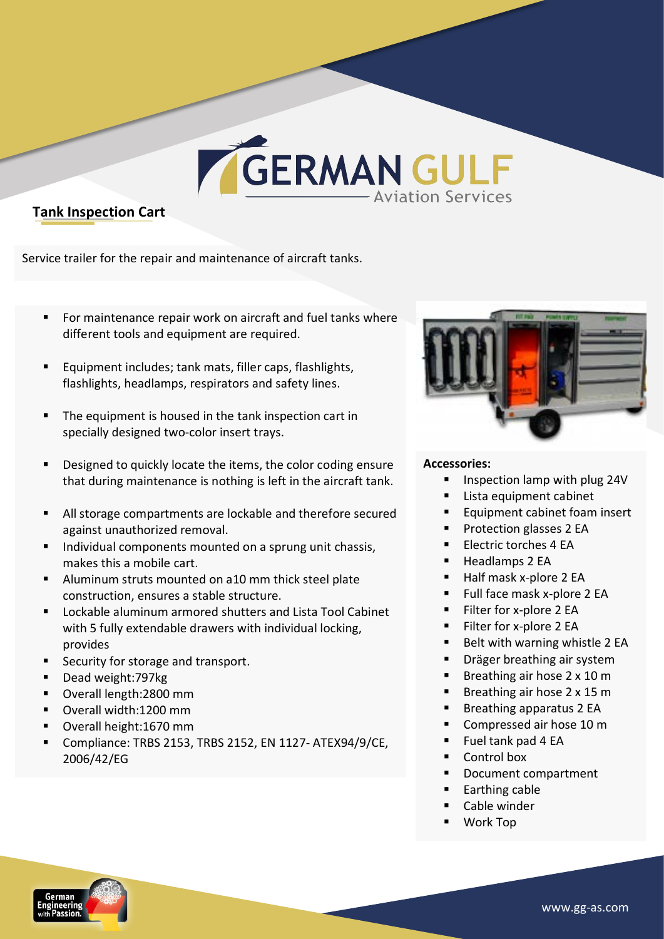#### **Tank Inspection Cart**

Service trailer for the repair and maintenance of aircraft tanks.

- For maintenance repair work on aircraft and fuel tanks where different tools and equipment are required.
- Equipment includes; tank mats, filler caps, flashlights, flashlights, headlamps, respirators and safety lines.
- The equipment is housed in the tank inspection cart in specially designed two-color insert trays.
- Designed to quickly locate the items, the color coding ensure that during maintenance is nothing is left in the aircraft tank.
- All storage compartments are lockable and therefore secured against unauthorized removal.
- Individual components mounted on a sprung unit chassis, makes this a mobile cart.
- Aluminum struts mounted on a10 mm thick steel plate construction, ensures a stable structure.
- Lockable aluminum armored shutters and Lista Tool Cabinet with 5 fully extendable drawers with individual locking, provides
- Security for storage and transport.
- § Dead weight:797kg
- § Overall length:2800 mm
- Overall width:1200 mm
- § Overall height:1670 mm
- § Compliance: TRBS 2153, TRBS 2152, EN 1127- ATEX94/9/CE, 2006/42/EG



#### **Accessories:**

- **E** Inspection lamp with plug 24V
- Lista equipment cabinet
- Equipment cabinet foam insert
- Protection glasses 2 EA
- Electric torches 4 FA
- Headlamps 2 EA
- Half mask x-plore 2 EA
- $\blacksquare$  Full face mask x-plore 2 EA
- Filter for x-plore 2 EA
- Filter for x-plore 2 EA
- Belt with warning whistle 2 EA
- Dräger breathing air system
- Breathing air hose  $2 \times 10 \text{ m}$
- Breathing air hose  $2 \times 15$  m
- Breathing apparatus 2 EA
- Compressed air hose 10 m
- § Fuel tank pad 4 EA
- Control box
- Document compartment
- Earthing cable
- Cable winder
- § Work Top

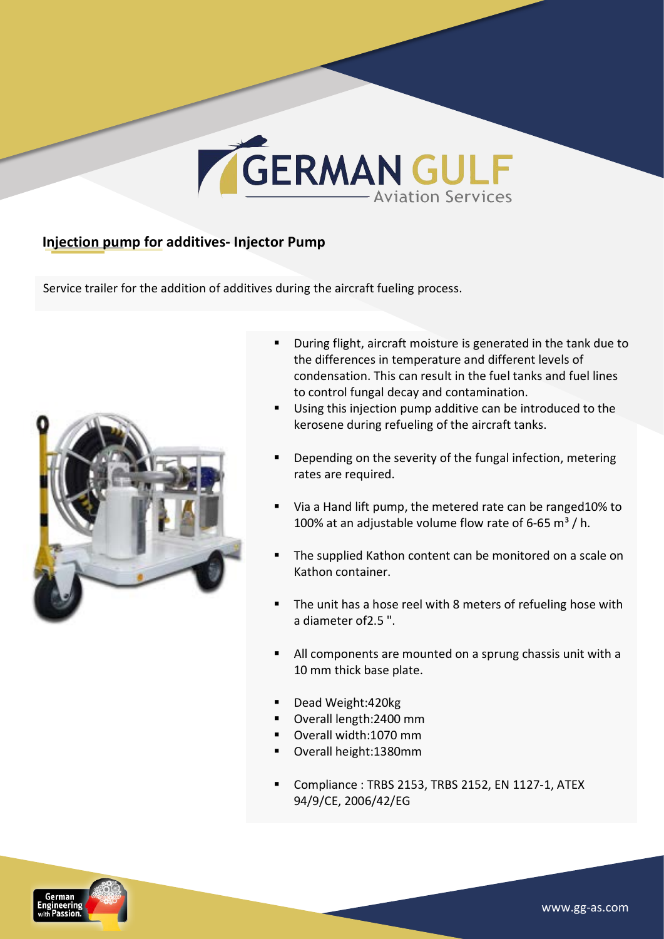

#### **Injection pump for additives- Injector Pump**

Service trailer for the addition of additives during the aircraft fueling process.



- During flight, aircraft moisture is generated in the tank due to the differences in temperature and different levels of condensation. This can result in the fuel tanks and fuel lines to control fungal decay and contamination.
- Using this injection pump additive can be introduced to the kerosene during refueling of the aircraft tanks.
- Depending on the severity of the fungal infection, metering rates are required.
- Via a Hand lift pump, the metered rate can be ranged10% to 100% at an adjustable volume flow rate of 6-65 m<sup>3</sup> / h.
- The supplied Kathon content can be monitored on a scale on Kathon container.
- The unit has a hose reel with 8 meters of refueling hose with a diameter of 2.5 ".
- All components are mounted on a sprung chassis unit with a 10 mm thick base plate.
- Dead Weight:420kg
- Overall length:2400 mm
- Overall width:1070 mm
- Overall height:1380mm
- Compliance: TRBS 2153, TRBS 2152, EN 1127-1, ATEX 94/9/CE, 2006/42/EG

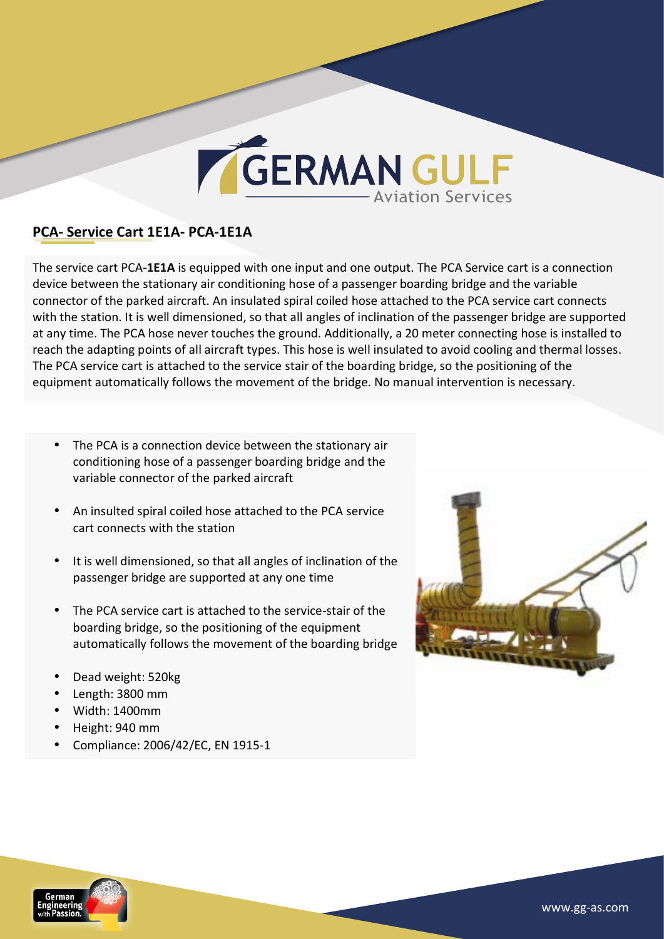

#### **PCA- Service Cart 1E1A- PCA-1E1A**

The service cart PCA-1E1A is equipped with one input and one output. The PCA Service cart is a connection device between the stationary air conditioning hose of a passenger boarding bridge and the variable connector of the parked aircraft. An insulated spiral coiled hose attached to the PCA service cart connects with the station. It is well dimensioned, so that all angles of inclination of the passenger bridge are supported at any time. The PCA hose never touches the ground. Additionally, a 20 meter connecting hose is installed to reach the adapting points of all aircraft types. This hose is well insulated to avoid cooling and thermal losses. The PCA service cart is attached to the service stair of the boarding bridge, so the positioning of the equipment automatically follows the movement of the bridge. No manual intervention is necessary.

- The PCA is a connection device between the stationary air conditioning hose of a passenger boarding bridge and the variable connector of the parked aircraft
- An insulted spiral coiled hose attached to the PCA service cart connects with the station
- It is well dimensioned, so that all angles of inclination of the passenger bridge are supported at any one time
- The PCA service cart is attached to the service-stair of the boarding bridge, so the positioning of the equipment automatically follows the movement of the boarding bridge
- Dead weight: 520kg
- Length: 3800 mm
- Width: 1400mm
- Height: 940 mm
- Compliance: 2006/42/EC, EN 1915-1



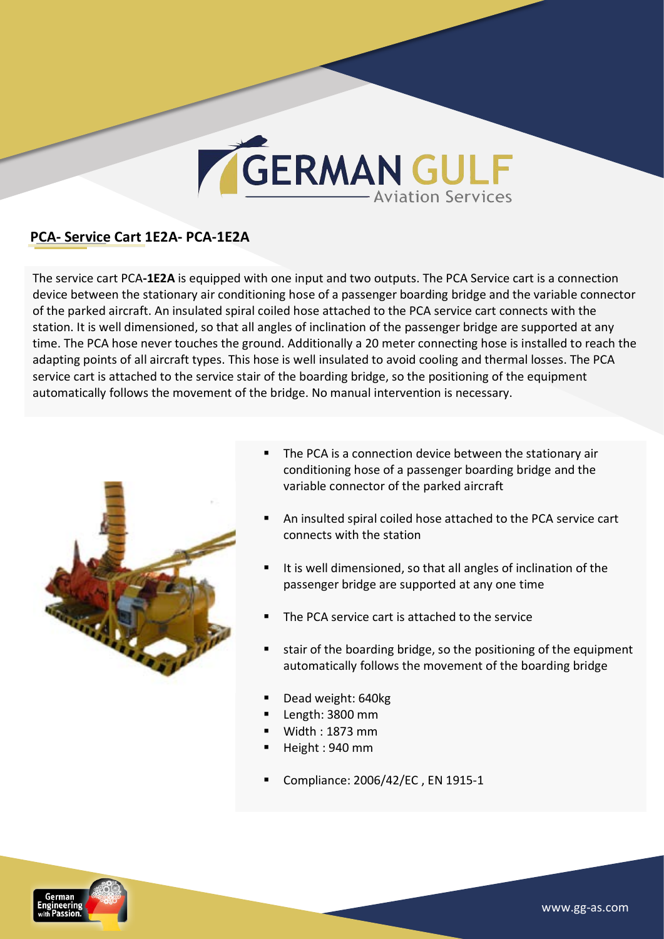## GERMAN GULF

#### **PCA- Service Cart 1E2A- PCA-1E2A**

The service cart PCA-1E2A is equipped with one input and two outputs. The PCA Service cart is a connection device between the stationary air conditioning hose of a passenger boarding bridge and the variable connector of the parked aircraft. An insulated spiral coiled hose attached to the PCA service cart connects with the station. It is well dimensioned, so that all angles of inclination of the passenger bridge are supported at any time. The PCA hose never touches the ground. Additionally a 20 meter connecting hose is installed to reach the adapting points of all aircraft types. This hose is well insulated to avoid cooling and thermal losses. The PCA service cart is attached to the service stair of the boarding bridge, so the positioning of the equipment automatically follows the movement of the bridge. No manual intervention is necessary.



- The PCA is a connection device between the stationary air conditioning hose of a passenger boarding bridge and the variable connector of the parked aircraft
- An insulted spiral coiled hose attached to the PCA service cart connects with the station
- It is well dimensioned, so that all angles of inclination of the passenger bridge are supported at any one time
- The PCA service cart is attached to the service
- stair of the boarding bridge, so the positioning of the equipment automatically follows the movement of the boarding bridge
- Dead weight: 640kg
- Length: 3800 mm
- § Width : 1873 mm
- Height: 940 mm
- Compliance: 2006/42/EC, EN 1915-1

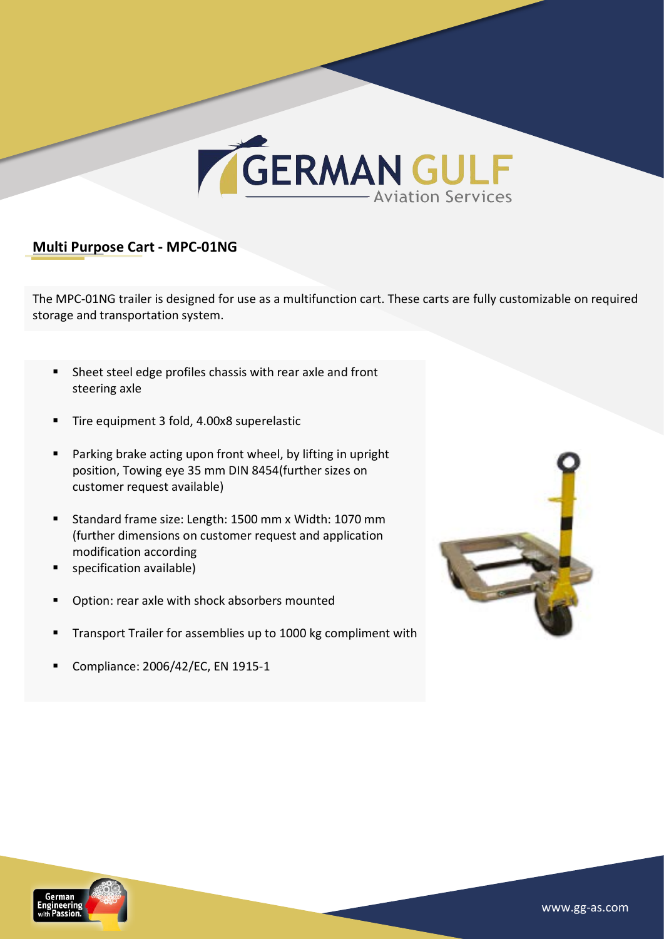

#### **Multi Purpose Cart - MPC-01NG**

The MPC-01NG trailer is designed for use as a multifunction cart. These carts are fully customizable on required storage and transportation system.

- Sheet steel edge profiles chassis with rear axle and front steering axle
- Tire equipment 3 fold, 4.00x8 superelastic
- Parking brake acting upon front wheel, by lifting in upright position, Towing eye 35 mm DIN 8454(further sizes on customer request available)
- Standard frame size: Length: 1500 mm x Width: 1070 mm (further dimensions on customer request and application modification according
- specification available)
- Option: rear axle with shock absorbers mounted
- Transport Trailer for assemblies up to 1000 kg compliment with
- Compliance: 2006/42/EC, EN 1915-1



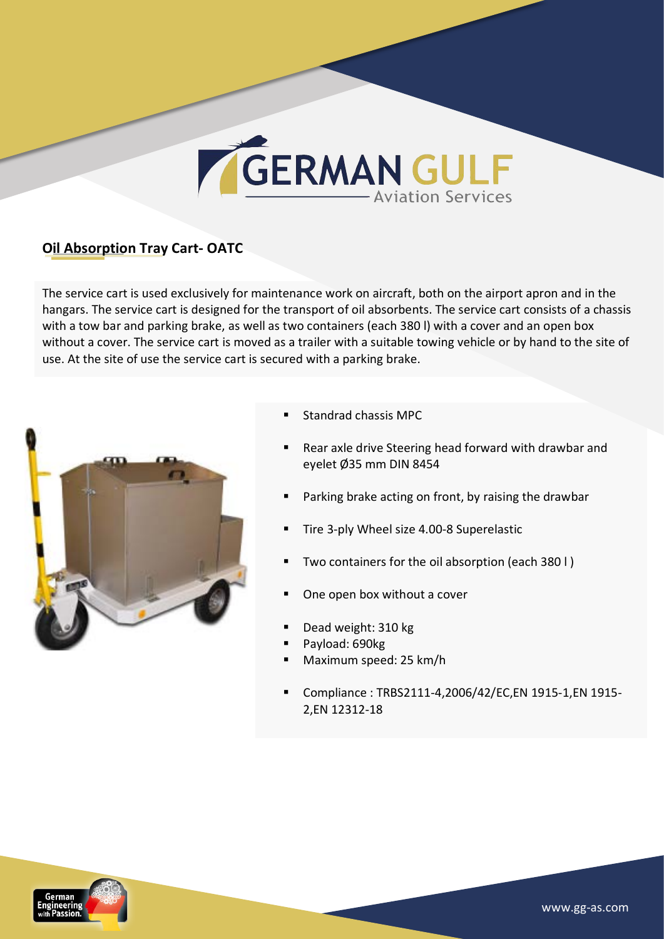# GERMAN GULF

#### **Oil Absorption Tray Cart-OATC**

The service cart is used exclusively for maintenance work on aircraft, both on the airport apron and in the hangars. The service cart is designed for the transport of oil absorbents. The service cart consists of a chassis with a tow bar and parking brake, as well as two containers (each 380 l) with a cover and an open box without a cover. The service cart is moved as a trailer with a suitable towing vehicle or by hand to the site of use. At the site of use the service cart is secured with a parking brake.



- Standrad chassis MPC
- Rear axle drive Steering head forward with drawbar and eyelet Ø35 mm DIN 8454
- Parking brake acting on front, by raising the drawbar
- Tire 3-ply Wheel size 4.00-8 Superelastic
- Two containers for the oil absorption (each 380 l)
- One open box without a cover
- Dead weight: 310 kg
- Payload: 690kg
- § Maximum speed: 25 km/h
- § Compliance : TRBS2111-4,2006/42/EC,EN 1915-1,EN 1915- 2,EN 12312-18

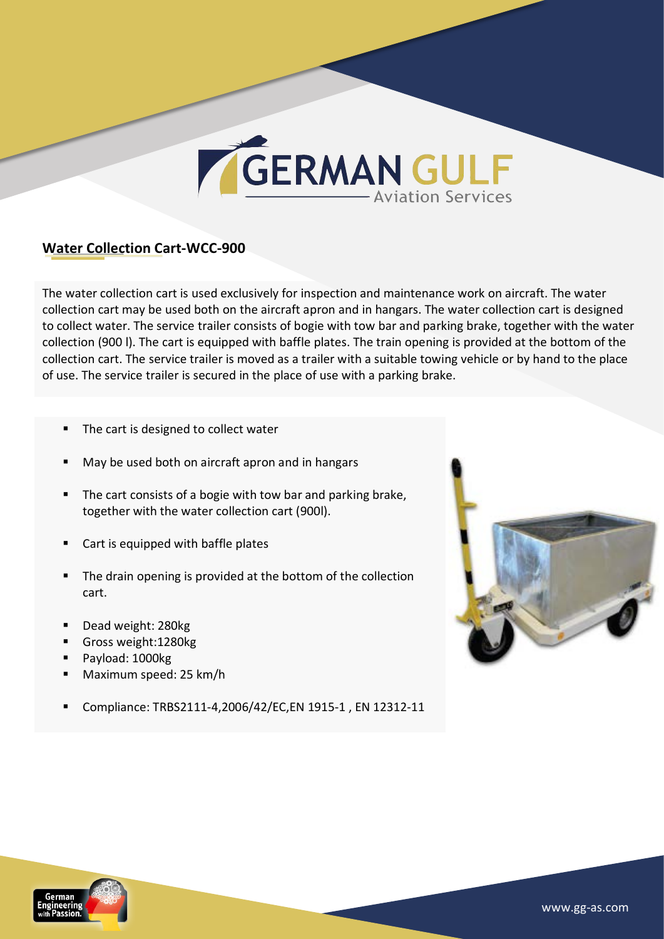

#### **Water Collection Cart-WCC-900**

The water collection cart is used exclusively for inspection and maintenance work on aircraft. The water collection cart may be used both on the aircraft apron and in hangars. The water collection cart is designed to collect water. The service trailer consists of bogie with tow bar and parking brake, together with the water collection (900 l). The cart is equipped with baffle plates. The train opening is provided at the bottom of the collection cart. The service trailer is moved as a trailer with a suitable towing vehicle or by hand to the place of use. The service trailer is secured in the place of use with a parking brake.

- The cart is designed to collect water
- May be used both on aircraft apron and in hangars
- The cart consists of a bogie with tow bar and parking brake, together with the water collection cart (900l).
- Cart is equipped with baffle plates
- The drain opening is provided at the bottom of the collection cart.
- § Dead weight: 280kg
- § Gross weight:1280kg
- Payload: 1000kg
- § Maximum speed: 25 km/h
- Compliance: TRBS2111-4,2006/42/EC,EN 1915-1, EN 12312-11



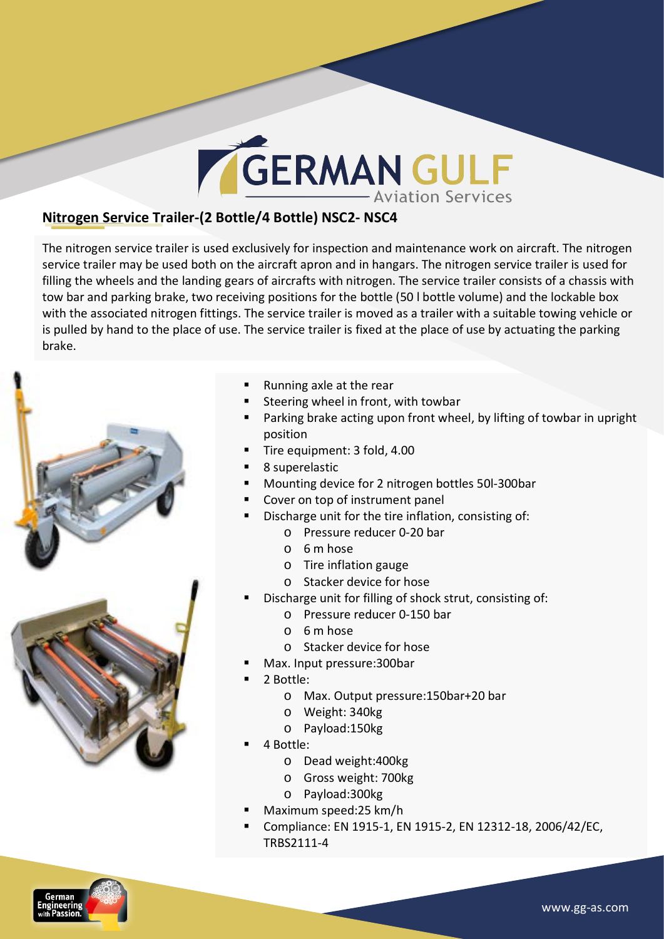# **GERMAN GULF**

#### **Nitrogen Service Trailer-(2 Bottle/4 Bottle) NSC2- NSC4**

The nitrogen service trailer is used exclusively for inspection and maintenance work on aircraft. The nitrogen service trailer may be used both on the aircraft apron and in hangars. The nitrogen service trailer is used for filling the wheels and the landing gears of aircrafts with nitrogen. The service trailer consists of a chassis with tow bar and parking brake, two receiving positions for the bottle (50 I bottle volume) and the lockable box with the associated nitrogen fittings. The service trailer is moved as a trailer with a suitable towing vehicle or is pulled by hand to the place of use. The service trailer is fixed at the place of use by actuating the parking brake.



- Running axle at the rear
- Steering wheel in front, with towbar
- Parking brake acting upon front wheel, by lifting of towbar in upright position
- Tire equipment: 3 fold, 4.00
- § 8 superelastic
- Mounting device for 2 nitrogen bottles 50l-300bar
- Cover on top of instrument panel
- Discharge unit for the tire inflation, consisting of:
	- o Pressure reducer 0-20 bar
	- $O$  6 m hose
	- $\circ$  Tire inflation gauge
	- o Stacker device for hose
- Discharge unit for filling of shock strut, consisting of:
	- $\circ$  Pressure reducer 0-150 bar
	- $O$  6 m hose
	- $\circ$  Stacker device for hose
- Max. Input pressure: 300bar
- § 2 Bottle:
	- o Max. Output pressure: 150bar+20 bar
	- o Weight: 340kg
	- o Payload:150kg
- § 4 Bottle:
	- o Dead weight:400kg
	- o Gross weight: 700kg
	- o Payload:300kg
- § Maximum speed:25 km/h
- Compliance: EN 1915-1, EN 1915-2, EN 12312-18, 2006/42/EC, TRBS2111-4